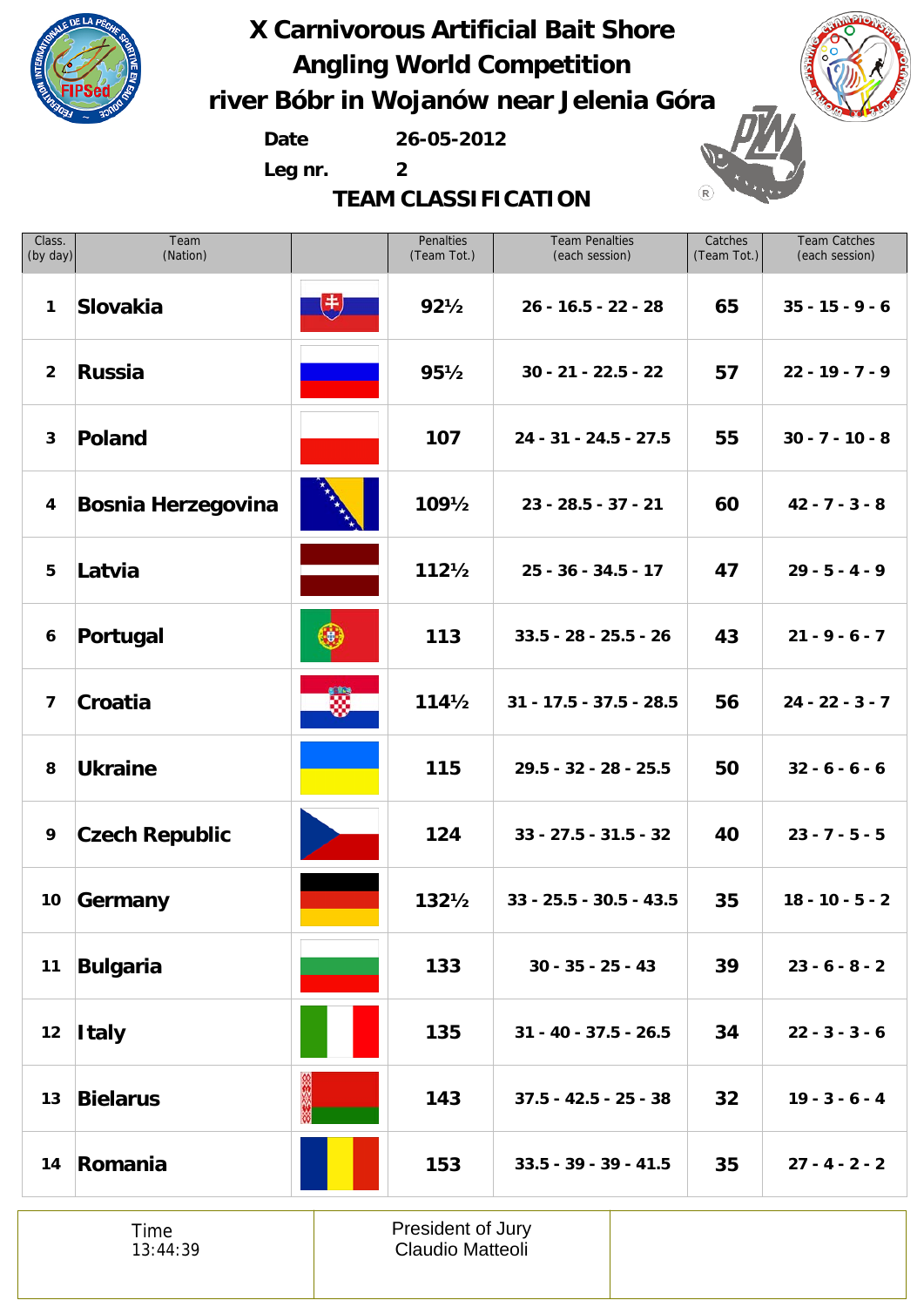

**Date 26-05-2012**

**Leg nr. 2**

**TEAM CLASSIFICATION**



(R

| Class.<br>(by day)      | Team<br>(Nation)          |             | Penalties<br>(Team Tot.) | <b>Team Penalties</b><br>(each session) | Catches<br>(Team Tot.) | <b>Team Catches</b><br>(each session) |
|-------------------------|---------------------------|-------------|--------------------------|-----------------------------------------|------------------------|---------------------------------------|
| 1                       | Slovakia                  | $\biguplus$ | $92\frac{1}{2}$          | $26 - 16.5 - 22 - 28$                   | 65                     | $35 - 15 - 9 - 6$                     |
| $\overline{2}$          | <b>Russia</b>             |             | $95\frac{1}{2}$          | $30 - 21 - 22.5 - 22$                   | 57                     | $22 - 19 - 7 - 9$                     |
| $\mathbf{3}$            | Poland                    |             | 107                      | 24 - 31 - 24.5 - 27.5                   | 55                     | $30 - 7 - 10 - 8$                     |
| 4                       | <b>Bosnia Herzegovina</b> |             | $109\frac{1}{2}$         | $23 - 28.5 - 37 - 21$                   | 60                     | $42 - 7 - 3 - 8$                      |
| 5                       | Latvia                    |             | $112\frac{1}{2}$         | $25 - 36 - 34.5 - 17$                   | 47                     | $29 - 5 - 4 - 9$                      |
| 6                       | Portugal                  | $(\bullet)$ | 113                      | $33.5 - 28 - 25.5 - 26$                 | 43                     | $21 - 9 - 6 - 7$                      |
| $\overline{\mathbf{z}}$ | Croatia                   | W.          | $114\frac{1}{2}$         | $31 - 17.5 - 37.5 - 28.5$               | 56                     | $24 - 22 - 3 - 7$                     |
| 8                       | <b>Ukraine</b>            |             | 115                      | 29.5 - 32 - 28 - 25.5                   | 50                     | $32 - 6 - 6 - 6$                      |
| 9                       | <b>Czech Republic</b>     |             | 124                      | $33 - 27.5 - 31.5 - 32$                 | 40                     | $23 - 7 - 5 - 5$                      |
| 10 <sub>1</sub>         | Germany                   |             | $132\frac{1}{2}$         | $33 - 25.5 - 30.5 - 43.5$               | 35                     | $18 - 10 - 5 - 2$                     |
| 11                      | <b>Bulgaria</b>           |             | 133                      | $30 - 35 - 25 - 43$                     | 39                     | $23 - 6 - 8 - 2$                      |
| 12                      | <b>Italy</b>              |             | 135                      | $31 - 40 - 37.5 - 26.5$                 | 34                     | $22 - 3 - 3 - 6$                      |
| 13                      | <b>Bielarus</b>           |             | 143                      | $37.5 - 42.5 - 25 - 38$                 | 32                     | $19 - 3 - 6 - 4$                      |
| 14                      | Romania                   |             | 153                      | $33.5 - 39 - 39 - 41.5$                 | 35                     | $27 - 4 - 2 - 2$                      |

Time 13:44:39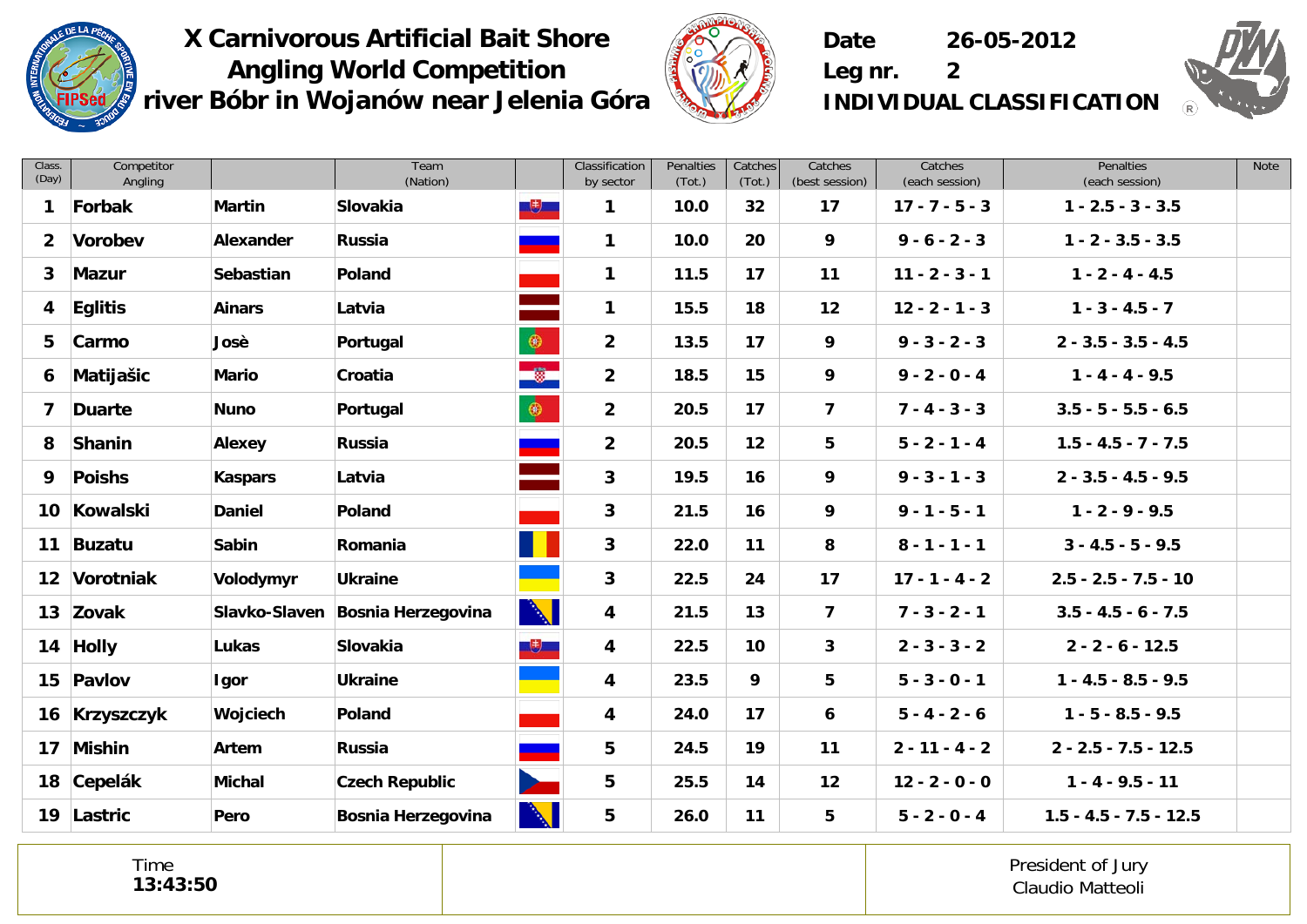



**Date 26-05-2012**



**Leg nr. 2 INDIVIDUAL CLASSIFICATION**

| Class.<br>(Day) | Competitor<br>Angling |                  | Team<br>(Nation)          |              | Classification<br>by sector | Penalties<br>(Tot.) | Catches<br>(Tot.) | Catches<br>(best session) | Catches<br>(each session) | Penalties<br>(each session) | Note |
|-----------------|-----------------------|------------------|---------------------------|--------------|-----------------------------|---------------------|-------------------|---------------------------|---------------------------|-----------------------------|------|
| 1               | Forbak                | <b>Martin</b>    | Slovakia                  | $+$          | 1                           | 10.0                | 32 <sub>2</sub>   | 17                        | $17 - 7 - 5 - 3$          | $1 - 2.5 - 3 - 3.5$         |      |
| $\overline{2}$  | Vorobev               | Alexander        | <b>Russia</b>             |              | $\mathbf{1}$                | 10.0                | 20                | 9                         | $9 - 6 - 2 - 3$           | $1 - 2 - 3.5 - 3.5$         |      |
| 3               | <b>Mazur</b>          | <b>Sebastian</b> | Poland                    |              | $\mathbf{1}$                | 11.5                | 17                | 11                        | $11 - 2 - 3 - 1$          | $1 - 2 - 4 - 4.5$           |      |
| 4               | <b>Eglitis</b>        | <b>Ainars</b>    | Latvia                    |              | $\mathbf 1$                 | 15.5                | 18                | 12                        | $12 - 2 - 1 - 3$          | $1 - 3 - 4.5 - 7$           |      |
| 5               | Carmo                 | Josè             | Portugal                  | $\bullet$    | $\overline{2}$              | 13.5                | 17                | 9                         | $9 - 3 - 2 - 3$           | $2 - 3.5 - 3.5 - 4.5$       |      |
| 6               | Matijašic             | <b>Mario</b>     | Croatia                   | $\bullet$    | $\overline{2}$              | 18.5                | 15                | 9                         | $9 - 2 - 0 - 4$           | $1 - 4 - 4 - 9.5$           |      |
| 7               | <b>Duarte</b>         | <b>Nuno</b>      | Portugal                  | $\bullet$    | $\overline{2}$              | 20.5                | 17                | $\overline{\mathbf{z}}$   | $7 - 4 - 3 - 3$           | $3.5 - 5 - 5.5 - 6.5$       |      |
| 8               | Shanin                | Alexey           | <b>Russia</b>             |              | $\overline{2}$              | 20.5                | 12                | 5                         | $5 - 2 - 1 - 4$           | $1.5 - 4.5 - 7 - 7.5$       |      |
| 9               | <b>Poishs</b>         | <b>Kaspars</b>   | Latvia                    |              | $\mathbf{3}$                | 19.5                | 16                | 9                         | $9 - 3 - 1 - 3$           | $2 - 3.5 - 4.5 - 9.5$       |      |
| 10              | Kowalski              | <b>Daniel</b>    | Poland                    |              | $\mathbf{3}$                | 21.5                | 16                | 9                         | $9 - 1 - 5 - 1$           | $1 - 2 - 9 - 9.5$           |      |
| 11              | <b>Buzatu</b>         | <b>Sabin</b>     | Romania                   |              | $\mathbf{3}$                | 22.0                | 11                | 8                         | $8 - 1 - 1 - 1$           | $3 - 4.5 - 5 - 9.5$         |      |
| 12 <sub>2</sub> | Vorotniak             | Volodymyr        | <b>Ukraine</b>            |              | $\mathbf{3}$                | 22.5                | 24                | 17                        | $17 - 1 - 4 - 2$          | $2.5 - 2.5 - 7.5 - 10$      |      |
| 13              | Zovak                 | Slavko-Slaven    | <b>Bosnia Herzegovina</b> | $\mathbb{R}$ | 4                           | 21.5                | 13                | $\overline{\mathbf{z}}$   | $7 - 3 - 2 - 1$           | $3.5 - 4.5 - 6 - 7.5$       |      |
| 14              | <b>Holly</b>          | Lukas            | Slovakia                  | 电            | 4                           | 22.5                | 10                | 3                         | $2 - 3 - 3 - 2$           | $2 - 2 - 6 - 12.5$          |      |
|                 | 15 Pavlov             | Igor             | <b>Ukraine</b>            |              | 4                           | 23.5                | 9                 | 5                         | $5 - 3 - 0 - 1$           | $1 - 4.5 - 8.5 - 9.5$       |      |
| 16              | <b>Krzyszczyk</b>     | Wojciech         | Poland                    |              | 4                           | 24.0                | 17                | 6                         | $5 - 4 - 2 - 6$           | $1 - 5 - 8.5 - 9.5$         |      |
| 17              | <b>Mishin</b>         | Artem            | <b>Russia</b>             |              | 5                           | 24.5                | 19                | 11                        | $2 - 11 - 4 - 2$          | $2 - 2.5 - 7.5 - 12.5$      |      |
| 18              | Cepelák               | <b>Michal</b>    | <b>Czech Republic</b>     |              | 5                           | 25.5                | 14                | 12                        | $12 - 2 - 0 - 0$          | $1 - 4 - 9.5 - 11$          |      |
| 19              | Lastric               | Pero             | <b>Bosnia Herzegovina</b> | $\Delta$     | 5                           | 26.0                | 11                | 5                         | $5 - 2 - 0 - 4$           | $1.5 - 4.5 - 7.5 - 12.5$    |      |

Time **13:43:50**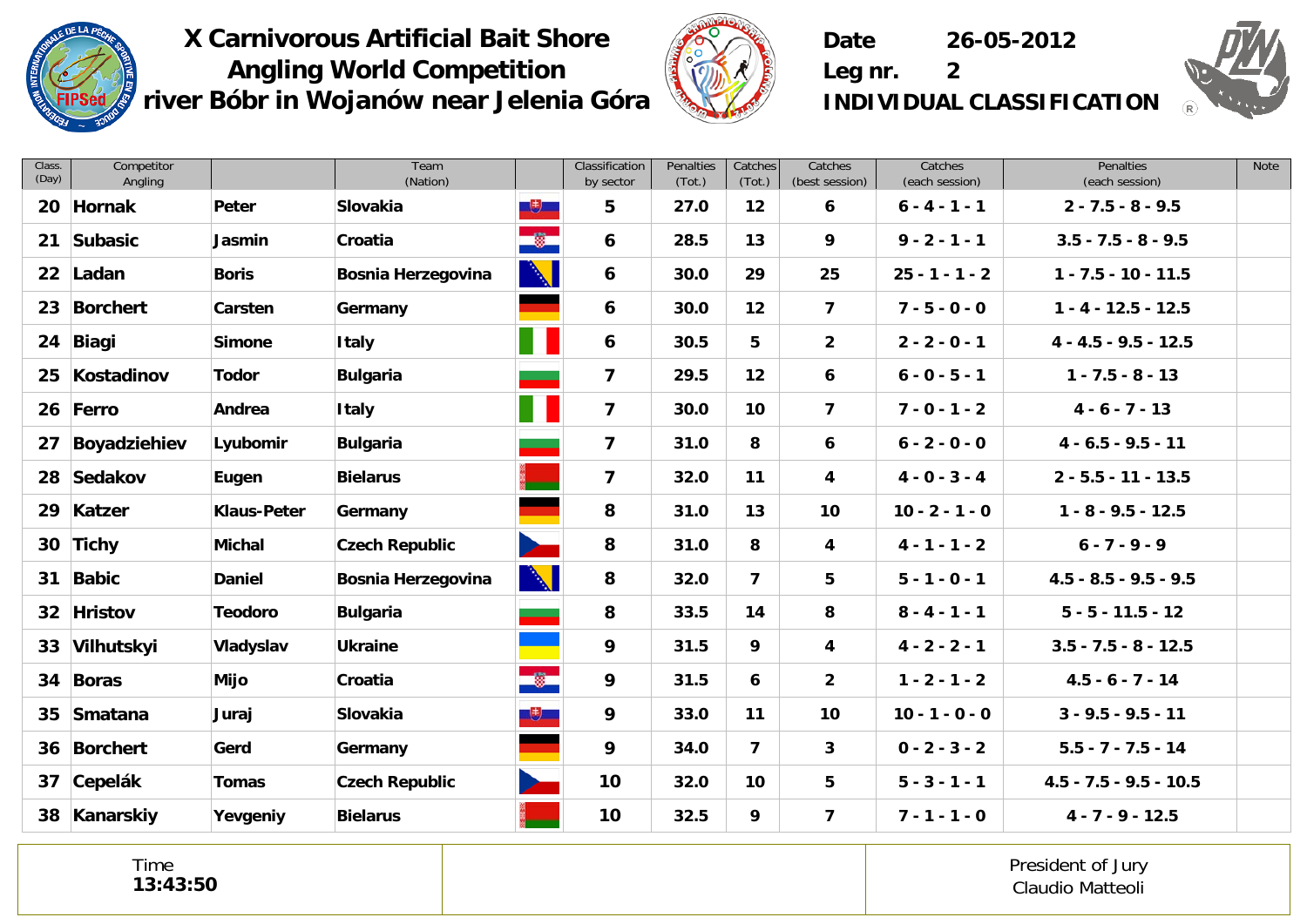



**Date 26-05-2012**

**Leg nr. 2 INDIVIDUAL CLASSIFICATION**

| Class.<br>(Day) | Competitor<br>Angling |                    | Team<br>(Nation)          |              | Classification<br>by sector | Penalties<br>(Tot.) | Catches<br>(Tot.) | Catches<br>(best session) | Catches<br>(each session) | <b>Penalties</b><br>(each session) | <b>Note</b> |
|-----------------|-----------------------|--------------------|---------------------------|--------------|-----------------------------|---------------------|-------------------|---------------------------|---------------------------|------------------------------------|-------------|
| 20              | Hornak                | Peter              | Slovakia                  | 电            | 5                           | 27.0                | $12 \overline{ }$ | 6                         | $6 - 4 - 1 - 1$           | $2 - 7.5 - 8 - 9.5$                |             |
| 21              | Subasic               | Jasmin             | Croatia                   | $\bullet$    | 6                           | 28.5                | 13                | 9                         | $9 - 2 - 1 - 1$           | $3.5 - 7.5 - 8 - 9.5$              |             |
|                 | 22 Ladan              | <b>Boris</b>       | <b>Bosnia Herzegovina</b> | $\mathbb{N}$ | 6                           | 30.0                | 29                | 25                        | $25 - 1 - 1 - 2$          | $1 - 7.5 - 10 - 11.5$              |             |
| 23              | <b>Borchert</b>       | Carsten            | Germany                   |              | 6                           | 30.0                | 12                | $\overline{\mathbf{z}}$   | $7 - 5 - 0 - 0$           | $1 - 4 - 12.5 - 12.5$              |             |
| 24              | <b>Biagi</b>          | <b>Simone</b>      | <b>Italy</b>              |              | 6                           | 30.5                | 5                 | $\overline{2}$            | $2 - 2 - 0 - 1$           | $4 - 4.5 - 9.5 - 12.5$             |             |
| 25              | Kostadinov            | <b>Todor</b>       | <b>Bulgaria</b>           |              | $\overline{\mathbf{z}}$     | 29.5                | 12                | 6                         | $6 - 0 - 5 - 1$           | $1 - 7.5 - 8 - 13$                 |             |
|                 | 26 Ferro              | Andrea             | <b>Italy</b>              |              | $\overline{\mathbf{z}}$     | 30.0                | 10                | $\overline{7}$            | $7 - 0 - 1 - 2$           | $4 - 6 - 7 - 13$                   |             |
| 27              | Boyadziehiev          | Lyubomir           | <b>Bulgaria</b>           |              | $\overline{\mathbf{z}}$     | 31.0                | 8                 | 6                         | $6 - 2 - 0 - 0$           | $4 - 6.5 - 9.5 - 11$               |             |
|                 | 28 Sedakov            | Eugen              | <b>Bielarus</b>           |              | $\overline{\mathbf{z}}$     | 32.0                | 11                | 4                         | $4 - 0 - 3 - 4$           | $2 - 5.5 - 11 - 13.5$              |             |
| 29              | Katzer                | <b>Klaus-Peter</b> | Germany                   |              | 8                           | 31.0                | 13                | 10                        | $10 - 2 - 1 - 0$          | $1 - 8 - 9.5 - 12.5$               |             |
|                 | 30 Tichy              | <b>Michal</b>      | <b>Czech Republic</b>     |              | 8                           | 31.0                | 8                 | 4                         | $4 - 1 - 1 - 2$           | $6 - 7 - 9 - 9$                    |             |
| 31              | <b>Babic</b>          | <b>Daniel</b>      | <b>Bosnia Herzegovina</b> |              | 8                           | 32.0                | $\overline{7}$    | 5                         | $5 - 1 - 0 - 1$           | $4.5 - 8.5 - 9.5 - 9.5$            |             |
| 32 <sub>2</sub> | <b>Hristov</b>        | <b>Teodoro</b>     | <b>Bulgaria</b>           |              | 8                           | 33.5                | 14                | 8                         | $8 - 4 - 1 - 1$           | $5 - 5 - 11.5 - 12$                |             |
|                 | 33 Vilhutskyi         | Vladyslav          | <b>Ukraine</b>            |              | 9                           | 31.5                | 9                 | 4                         | $4 - 2 - 2 - 1$           | $3.5 - 7.5 - 8 - 12.5$             |             |
| 34              | <b>Boras</b>          | Mijo               | Croatia                   | $\bullet$    | 9                           | 31.5                | 6                 | $\overline{2}$            | $1 - 2 - 1 - 2$           | $4.5 - 6 - 7 - 14$                 |             |
| 35              | Smatana               | Juraj              | Slovakia                  | $+$          | 9                           | 33.0                | 11                | 10                        | $10 - 1 - 0 - 0$          | $3 - 9.5 - 9.5 - 11$               |             |
|                 | 36 Borchert           | Gerd               | Germany                   |              | 9                           | 34.0                | $\overline{7}$    | 3                         | $0 - 2 - 3 - 2$           | $5.5 - 7 - 7.5 - 14$               |             |
| 37              | Cepelák               | Tomas              | <b>Czech Republic</b>     |              | 10                          | 32.0                | 10 <sup>°</sup>   | 5                         | $5 - 3 - 1 - 1$           | $4.5 - 7.5 - 9.5 - 10.5$           |             |
|                 | 38 Kanarskiy          | Yevgeniy           | <b>Bielarus</b>           |              | 10                          | 32.5                | 9                 | $\overline{7}$            | $7 - 1 - 1 - 0$           | $4 - 7 - 9 - 12.5$                 |             |

Time **13:43:50**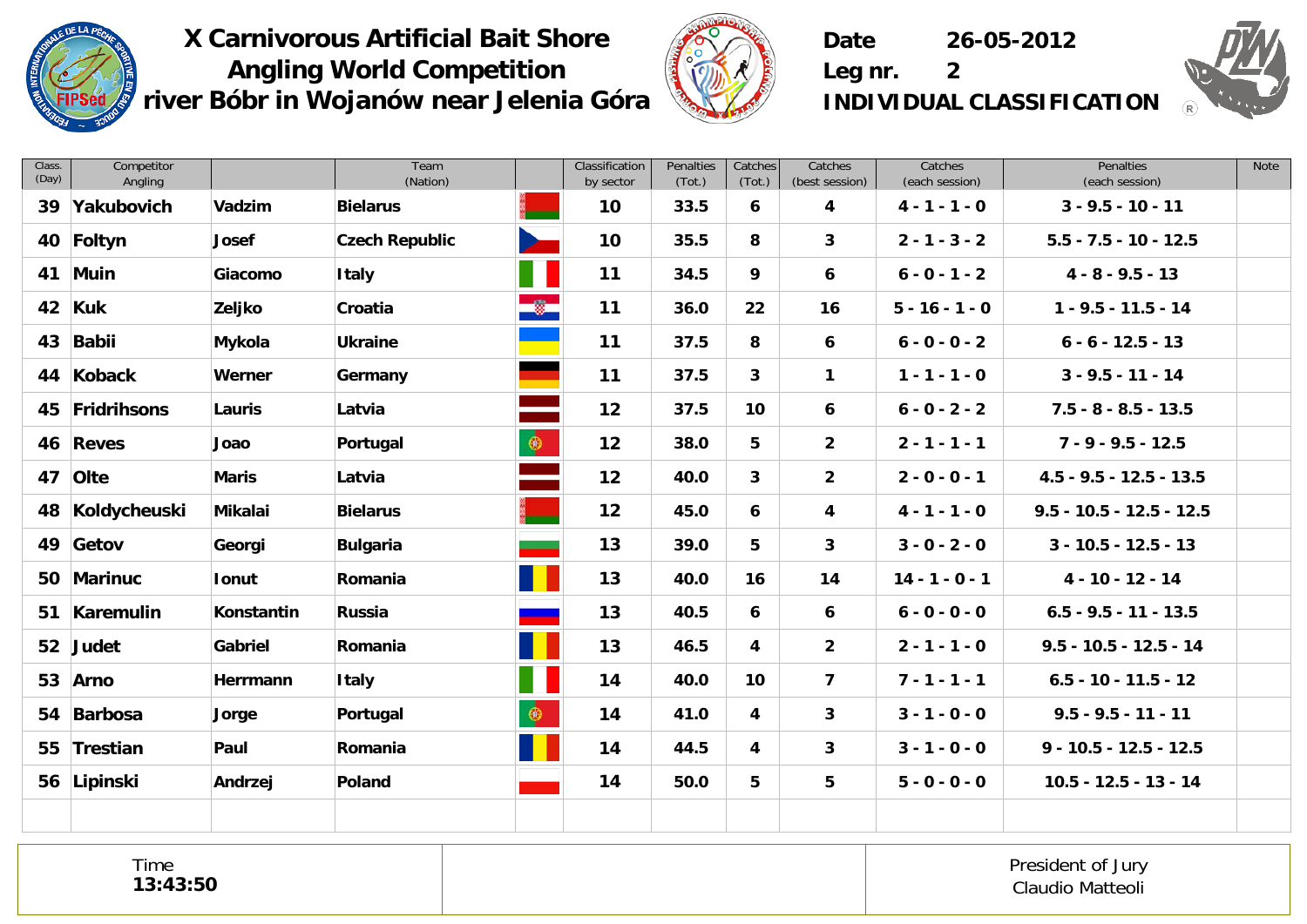



**Date 26-05-2012**

**Leg nr. 2 INDIVIDUAL CLASSIFICATION**



| Class.<br>(Day) | Competitor<br>Angling |                   | Team<br>(Nation)      |           | Classification<br>by sector | Penalties<br>(Tot.) | Catches<br>(Tot.) | Catches<br>(best session) | Catches<br>(each session) | Penalties<br>(each session) | <b>Note</b> |
|-----------------|-----------------------|-------------------|-----------------------|-----------|-----------------------------|---------------------|-------------------|---------------------------|---------------------------|-----------------------------|-------------|
| 39              | Yakubovich            | Vadzim            | <b>Bielarus</b>       |           | 10                          | 33.5                | 6                 | 4                         | $4 - 1 - 1 - 0$           | $3 - 9.5 - 10 - 11$         |             |
|                 | 40 Foltyn             | Josef             | <b>Czech Republic</b> |           | 10                          | 35.5                | 8                 | 3                         | $2 - 1 - 3 - 2$           | $5.5 - 7.5 - 10 - 12.5$     |             |
|                 | 41 Muin               | Giacomo           | <b>Italy</b>          |           | 11                          | 34.5                | 9                 | 6                         | $6 - 0 - 1 - 2$           | $4 - 8 - 9.5 - 13$          |             |
| 42              | <b>Kuk</b>            | Zeljko            | Croatia               |           | 11                          | 36.0                | 22                | 16                        | $5 - 16 - 1 - 0$          | $1 - 9.5 - 11.5 - 14$       |             |
| 43              | <b>Babii</b>          | Mykola            | <b>Ukraine</b>        |           | 11                          | 37.5                | 8                 | 6                         | $6 - 0 - 0 - 2$           | $6 - 6 - 12.5 - 13$         |             |
| 44              | Koback                | Werner            | Germany               |           | 11                          | 37.5                | $\mathbf{3}$      | $\mathbf{1}$              | $1 - 1 - 1 - 0$           | $3 - 9.5 - 11 - 14$         |             |
|                 | 45 Fridrihsons        | Lauris            | Latvia                |           | 12                          | 37.5                | 10                | 6                         | $6 - 0 - 2 - 2$           | $7.5 - 8 - 8.5 - 13.5$      |             |
|                 | 46 Reves              | Joao              | Portugal              | $\bullet$ | 12                          | 38.0                | 5                 | $\overline{2}$            | $2 - 1 - 1 - 1$           | $7 - 9 - 9.5 - 12.5$        |             |
| 47              | Olte                  | <b>Maris</b>      | Latvia                |           | 12                          | 40.0                | 3                 | $\overline{2}$            | $2 - 0 - 0 - 1$           | $4.5 - 9.5 - 12.5 - 13.5$   |             |
| 48              | Koldycheuski          | <b>Mikalai</b>    | <b>Bielarus</b>       |           | 12                          | 45.0                | 6                 | 4                         | $4 - 1 - 1 - 0$           | $9.5 - 10.5 - 12.5 - 12.5$  |             |
|                 | 49 Getov              | Georgi            | <b>Bulgaria</b>       |           | 13                          | 39.0                | 5                 | $\mathbf{3}$              | $3 - 0 - 2 - 0$           | $3 - 10.5 - 12.5 - 13$      |             |
| 50              | <b>Marinuc</b>        | <b>Ionut</b>      | Romania               |           | 13                          | 40.0                | 16                | 14                        | $14 - 1 - 0 - 1$          | $4 - 10 - 12 - 14$          |             |
| 51              | Karemulin             | <b>Konstantin</b> | Russia                |           | 13                          | 40.5                | 6                 | 6                         | $6 - 0 - 0 - 0$           | $6.5 - 9.5 - 11 - 13.5$     |             |
|                 | 52 Judet              | Gabriel           | Romania               |           | 13                          | 46.5                | 4                 | $\mathbf{2}$              | $2 - 1 - 1 - 0$           | $9.5 - 10.5 - 12.5 - 14$    |             |
| 53              | Arno                  | Herrmann          | <b>Italy</b>          |           | 14                          | 40.0                | 10                | $\overline{\mathbf{z}}$   | $7 - 1 - 1 - 1$           | $6.5 - 10 - 11.5 - 12$      |             |
| 54              | Barbosa               | Jorge             | Portugal              | $\bullet$ | 14                          | 41.0                | 4                 | 3                         | $3 - 1 - 0 - 0$           | $9.5 - 9.5 - 11 - 11$       |             |
|                 | 55 Trestian           | Paul              | Romania               |           | 14                          | 44.5                | 4                 | 3                         | $3 - 1 - 0 - 0$           | $9 - 10.5 - 12.5 - 12.5$    |             |
|                 | 56 Lipinski           | Andrzej           | Poland                |           | 14                          | 50.0                | 5                 | 5                         | $5 - 0 - 0 - 0$           | $10.5 - 12.5 - 13 - 14$     |             |
|                 |                       |                   |                       |           |                             |                     |                   |                           |                           |                             |             |

Time **13:43:50**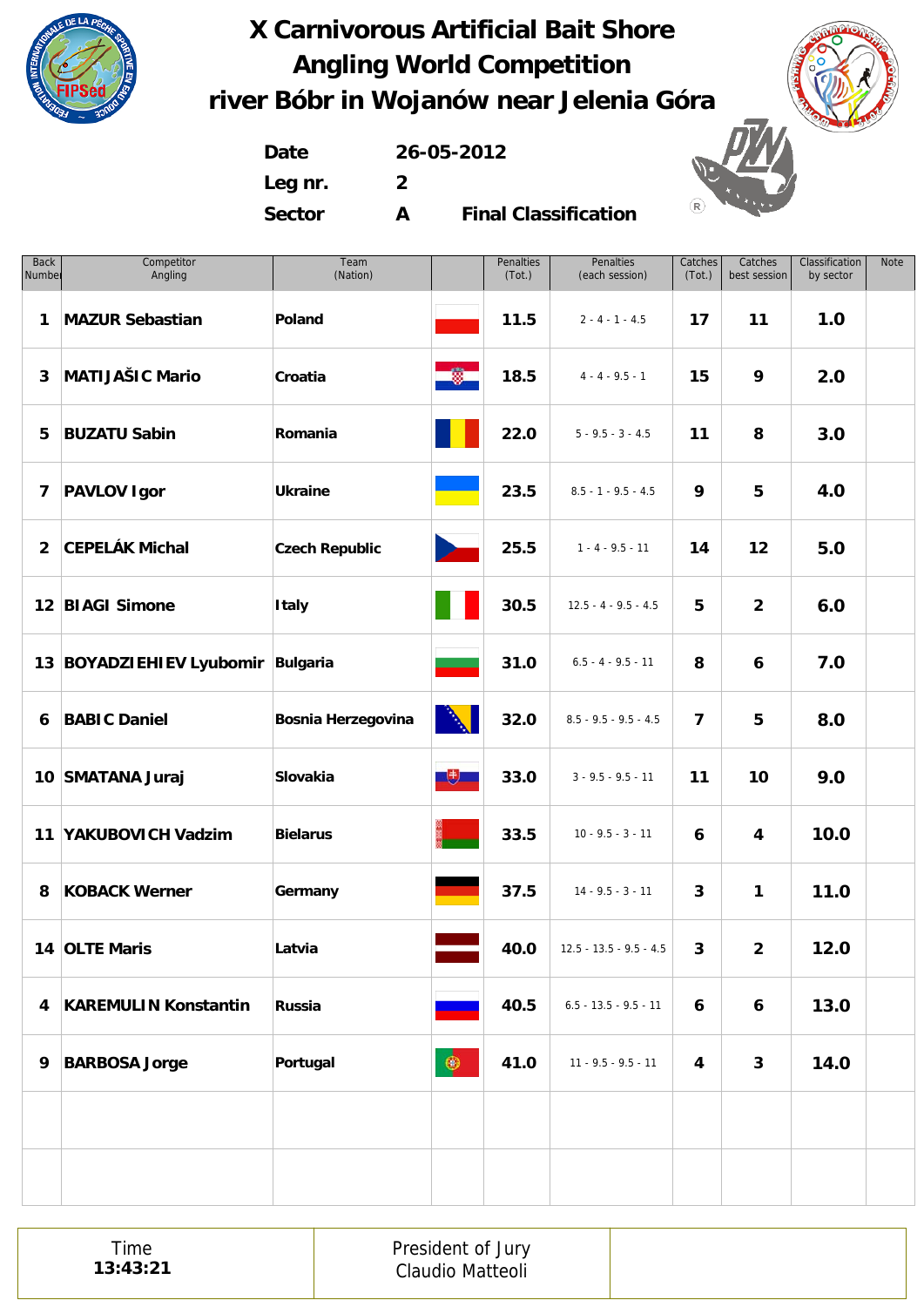

**Date 26-05-2012 Leg nr. 2 Sector A**

| <b>Back</b><br>Number | Competitor<br>Angling       | Team<br>(Nation)          |                | <b>Penalties</b><br>(Tot.) | Penalties<br>(each session) | Catches<br>(Tot.)       | Catches<br>best session | Classification<br>by sector | Note |
|-----------------------|-----------------------------|---------------------------|----------------|----------------------------|-----------------------------|-------------------------|-------------------------|-----------------------------|------|
| 1                     | <b>MAZUR Sebastian</b>      | Poland                    |                | 11.5                       | $2 - 4 - 1 - 4.5$           | 17                      | 11                      | 1.0                         |      |
| 3                     | <b>MATIJAŠIC Mario</b>      | Croatia                   | -0             | 18.5                       | $4 - 4 - 9.5 - 1$           | 15                      | 9                       | 2.0                         |      |
| 5                     | <b>BUZATU Sabin</b>         | Romania                   |                | 22.0                       | $5 - 9.5 - 3 - 4.5$         | 11                      | 8                       | 3.0                         |      |
| 7                     | <b>PAVLOV Igor</b>          | <b>Ukraine</b>            |                | 23.5                       | $8.5 - 1 - 9.5 - 4.5$       | 9                       | 5                       | 4.0                         |      |
| $\overline{2}$        | <b>CEPELÁK Michal</b>       | <b>Czech Republic</b>     | D.             | 25.5                       | $1 - 4 - 9.5 - 11$          | 14                      | 12                      | 5.0                         |      |
|                       | 12 BIAGI Simone             | <b>Italy</b>              |                | 30.5                       | $12.5 - 4 - 9.5 - 4.5$      | 5                       | $\overline{2}$          | 6.0                         |      |
|                       | 13 BOYADZIEHIEV Lyubomir    | Bulgaria                  |                | 31.0                       | $6.5 - 4 - 9.5 - 11$        | 8                       | 6                       | 7.0                         |      |
| 6                     | <b>BABIC Daniel</b>         | <b>Bosnia Herzegovina</b> |                | 32.0                       | $8.5 - 9.5 - 9.5 - 4.5$     | $\overline{\mathbf{z}}$ | 5                       | 8.0                         |      |
|                       | 10 SMATANA Juraj            | Slovakia                  | $\overline{1}$ | 33.0                       | $3 - 9.5 - 9.5 - 11$        | 11                      | 10                      | 9.0                         |      |
|                       | 11 YAKUBOVICH Vadzim        | <b>Bielarus</b>           |                | 33.5                       | $10 - 9.5 - 3 - 11$         | 6                       | 4                       | 10.0                        |      |
| 8                     | <b>KOBACK Werner</b>        | Germany                   |                | 37.5                       | $14 - 9.5 - 3 - 11$         | 3                       | 1                       | 11.0                        |      |
|                       | 14 OLTE Maris               | Latvia                    |                | 40.0                       | $12.5 - 13.5 - 9.5 - 4.5$   | $\mathbf{3}$            | $2^{\circ}$             | 12.0                        |      |
| 4                     | <b>KAREMULIN Konstantin</b> | <b>Russia</b>             |                | 40.5                       | $6.5 - 13.5 - 9.5 - 11$     | 6                       | 6                       | 13.0                        |      |
| 9                     | <b>BARBOSA Jorge</b>        | Portugal                  | $\circledast$  | 41.0                       | $11 - 9.5 - 9.5 - 11$       | 4                       | 3                       | 14.0                        |      |
|                       |                             |                           |                |                            |                             |                         |                         |                             |      |
|                       |                             |                           |                |                            |                             |                         |                         |                             |      |

| President of Jury<br>Claudio Matteoli |
|---------------------------------------|
|---------------------------------------|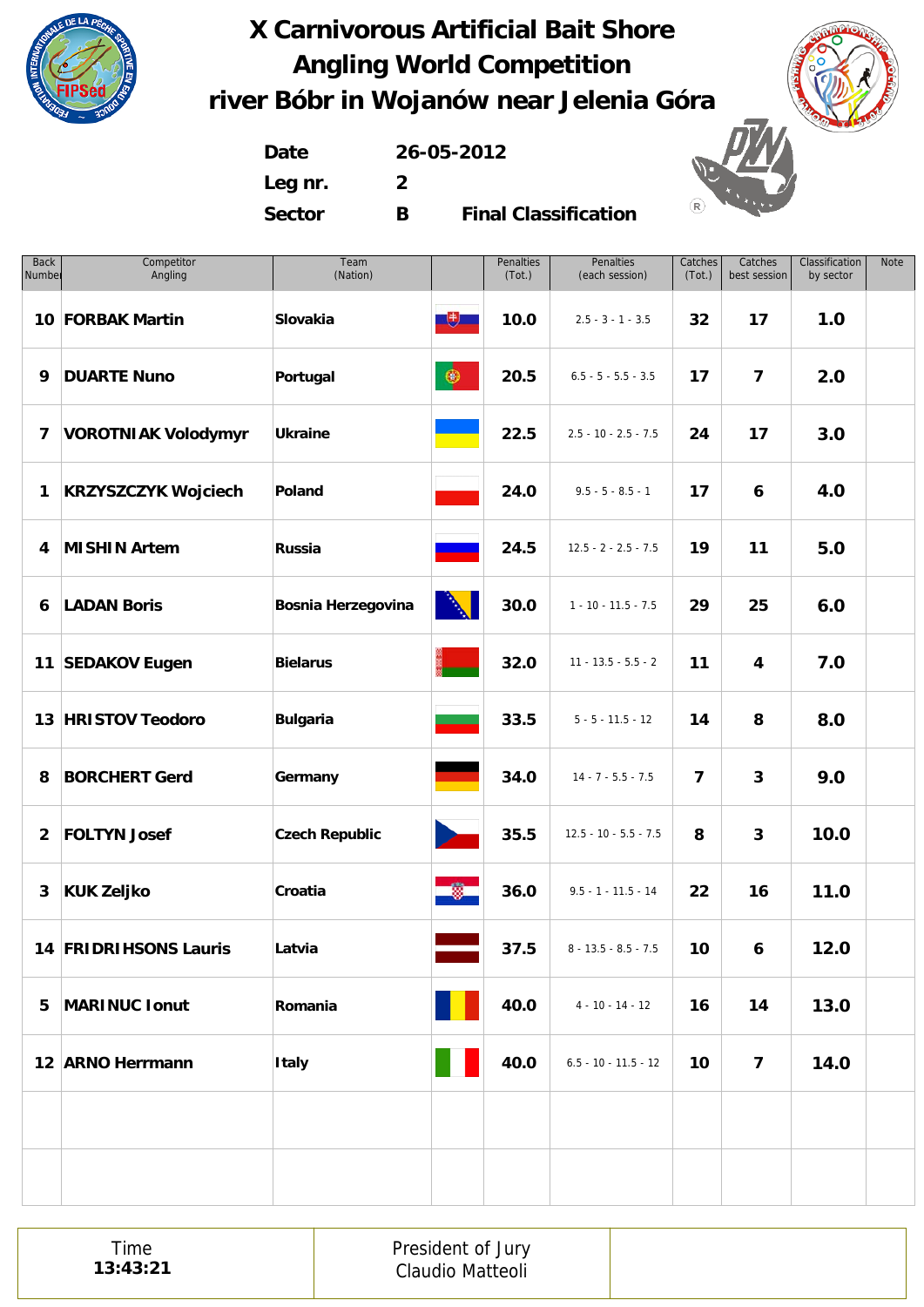

**Date 26-05-2012 Leg nr. 2 Sector B**

| <b>Back</b><br>Number | Competitor<br>Angling      | Team<br>(Nation)          |                          | Penalties<br>(Tot.) | Penalties<br>(each session) | Catches<br>(Tot.)       | Catches<br>best session | Classification<br>by sector | <b>Note</b> |
|-----------------------|----------------------------|---------------------------|--------------------------|---------------------|-----------------------------|-------------------------|-------------------------|-----------------------------|-------------|
|                       | 10 FORBAK Martin           | Slovakia                  | $\overline{\mathcal{F}}$ | 10.0                | $2.5 - 3 - 1 - 3.5$         | 32                      | 17                      | 1.0                         |             |
| 9                     | <b>DUARTE Nuno</b>         | Portugal                  | $\circledast$            | 20.5                | $6.5 - 5 - 5.5 - 3.5$       | 17                      | $\overline{\mathbf{z}}$ | 2.0                         |             |
| 7                     | <b>VOROTNIAK Volodymyr</b> | <b>Ukraine</b>            |                          | 22.5                | $2.5 - 10 - 2.5 - 7.5$      | 24                      | 17                      | 3.0                         |             |
| 1                     | <b>KRZYSZCZYK Wojciech</b> | Poland                    |                          | 24.0                | $9.5 - 5 - 8.5 - 1$         | 17                      | 6                       | 4.0                         |             |
| 4                     | <b>MISHIN Artem</b>        | Russia                    |                          | 24.5                | $12.5 - 2 - 2.5 - 7.5$      | 19                      | 11                      | 5.0                         |             |
| 6                     | <b>LADAN Boris</b>         | <b>Bosnia Herzegovina</b> | Ŋ                        | 30.0                | $1 - 10 - 11.5 - 7.5$       | 29                      | 25                      | 6.0                         |             |
|                       | 11 SEDAKOV Eugen           | <b>Bielarus</b>           |                          | 32.0                | $11 - 13.5 - 5.5 - 2$       | 11                      | 4                       | 7.0                         |             |
|                       | 13 HRISTOV Teodoro         | <b>Bulgaria</b>           |                          | 33.5                | $5 - 5 - 11.5 - 12$         | 14                      | 8                       | 8.0                         |             |
| 8                     | <b>BORCHERT Gerd</b>       | Germany                   |                          | 34.0                | $14 - 7 - 5.5 - 7.5$        | $\overline{\mathbf{z}}$ | 3                       | 9.0                         |             |
| $\overline{2}$        | <b>FOLTYN Josef</b>        | <b>Czech Republic</b>     | $\mathbf{r}$             | 35.5                | $12.5 - 10 - 5.5 - 7.5$     | 8                       | 3                       | 10.0                        |             |
| $\mathbf{3}$          | <b>KUK Zeljko</b>          | Croatia                   | 圜                        | 36.0                | $9.5 - 1 - 11.5 - 14$       | 22                      | 16                      | 11.0                        |             |
|                       | 14 FRIDRIHSONS Lauris      | Latvia                    |                          | 37.5                | $8 - 13.5 - 8.5 - 7.5$      | 10                      | 6 <sup>1</sup>          | 12.0                        |             |
| 5                     | <b>MARINUC Ionut</b>       | Romania                   |                          | 40.0                | $4 - 10 - 14 - 12$          | 16                      | 14                      | 13.0                        |             |
|                       | 12 ARNO Herrmann           | <b>Italy</b>              |                          | 40.0                | $6.5 - 10 - 11.5 - 12$      | 10                      | $\overline{\mathbf{z}}$ | 14.0                        |             |
|                       |                            |                           |                          |                     |                             |                         |                         |                             |             |
|                       |                            |                           |                          |                     |                             |                         |                         |                             |             |

|--|--|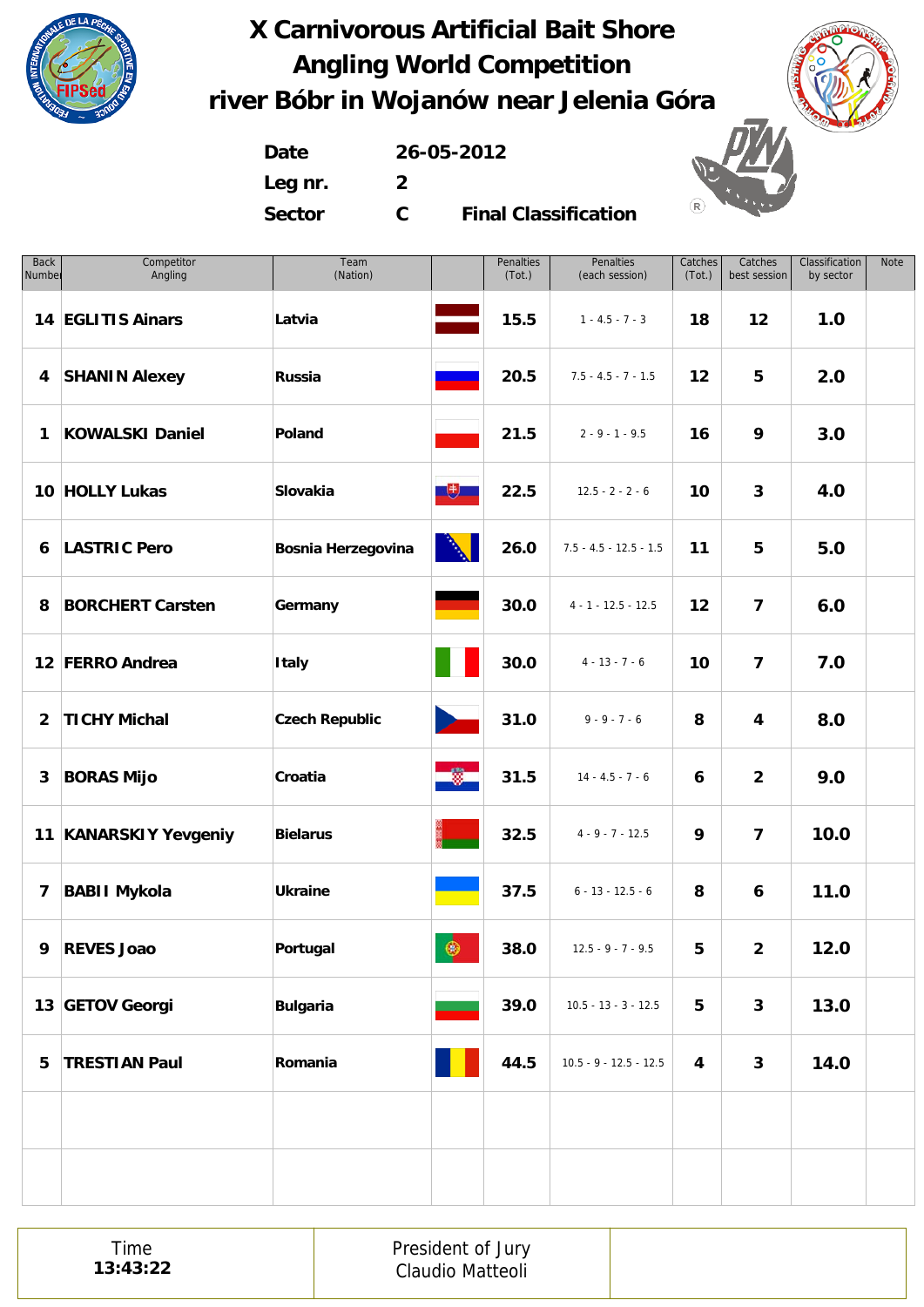

**Date 26-05-2012 Leg nr. 2 Sector C**



| <b>Back</b><br>Number   | Competitor<br>Angling   | Team<br>(Nation)          |                      | Penalties<br>(Tot.) | Penalties<br>(each session) | Catches<br>(Tot.) | Catches<br>best session | Classification<br>by sector | Note |
|-------------------------|-------------------------|---------------------------|----------------------|---------------------|-----------------------------|-------------------|-------------------------|-----------------------------|------|
|                         | 14 EGLITIS Ainars       | Latvia                    |                      | 15.5                | $1 - 4.5 - 7 - 3$           | 18                | 12                      | 1.0                         |      |
| 4                       | <b>SHANIN Alexey</b>    | Russia                    |                      | 20.5                | $7.5 - 4.5 - 7 - 1.5$       | 12                | 5                       | 2.0                         |      |
| $\mathbf{1}$            | <b>KOWALSKI Daniel</b>  | Poland                    |                      | 21.5                | $2 - 9 - 1 - 9.5$           | 16                | 9                       | 3.0                         |      |
|                         | 10 HOLLY Lukas          | Slovakia                  | $\overline{1}$       | 22.5                | $12.5 - 2 - 2 - 6$          | 10                | $\mathbf{3}$            | 4.0                         |      |
| 6                       | <b>LASTRIC Pero</b>     | <b>Bosnia Herzegovina</b> | <b>A</b>             | 26.0                | $7.5 - 4.5 - 12.5 - 1.5$    | 11                | 5                       | 5.0                         |      |
| 8                       | <b>BORCHERT Carsten</b> | Germany                   |                      | 30.0                | $4 - 1 - 12.5 - 12.5$       | 12                | $\overline{7}$          | 6.0                         |      |
|                         | 12 FERRO Andrea         | <b>Italy</b>              |                      | 30.0                | $4 - 13 - 7 - 6$            | 10                | $\overline{\mathbf{z}}$ | 7.0                         |      |
| $\overline{2}$          | <b>TICHY Michal</b>     | <b>Czech Republic</b>     | <b>Participation</b> | 31.0                | $9 - 9 - 7 - 6$             | 8                 | 4                       | 8.0                         |      |
| 3                       | <b>BORAS Mijo</b>       | Croatia                   | e og e               | 31.5                | $14 - 4.5 - 7 - 6$          | 6                 | $\overline{2}$          | 9.0                         |      |
|                         | 11 KANARSKIY Yevgeniy   | <b>Bielarus</b>           |                      | 32.5                | $4 - 9 - 7 - 12.5$          | 9                 | $\overline{\mathbf{z}}$ | 10.0                        |      |
| $\overline{\mathbf{z}}$ | <b>BABII Mykola</b>     | <b>Ukraine</b>            |                      | 37.5                | $6 - 13 - 12.5 - 6$         | 8                 | 6                       | 11.0                        |      |
| 9                       | <b>REVES Joao</b>       | Portugal                  | $\circledast$        | 38.0                | $12.5 - 9 - 7 - 9.5$        | 5                 | $\overline{2}$          | 12.0                        |      |
|                         | 13 GETOV Georgi         | <b>Bulgaria</b>           |                      | 39.0                | $10.5 - 13 - 3 - 12.5$      | 5                 | $\mathbf{3}$            | 13.0                        |      |
| 5                       | <b>TRESTIAN Paul</b>    | Romania                   |                      | 44.5                | $10.5 - 9 - 12.5 - 12.5$    | 4                 | $\mathbf{3}$            | 14.0                        |      |
|                         |                         |                           |                      |                     |                             |                   |                         |                             |      |
|                         |                         |                           |                      |                     |                             |                   |                         |                             |      |

|--|